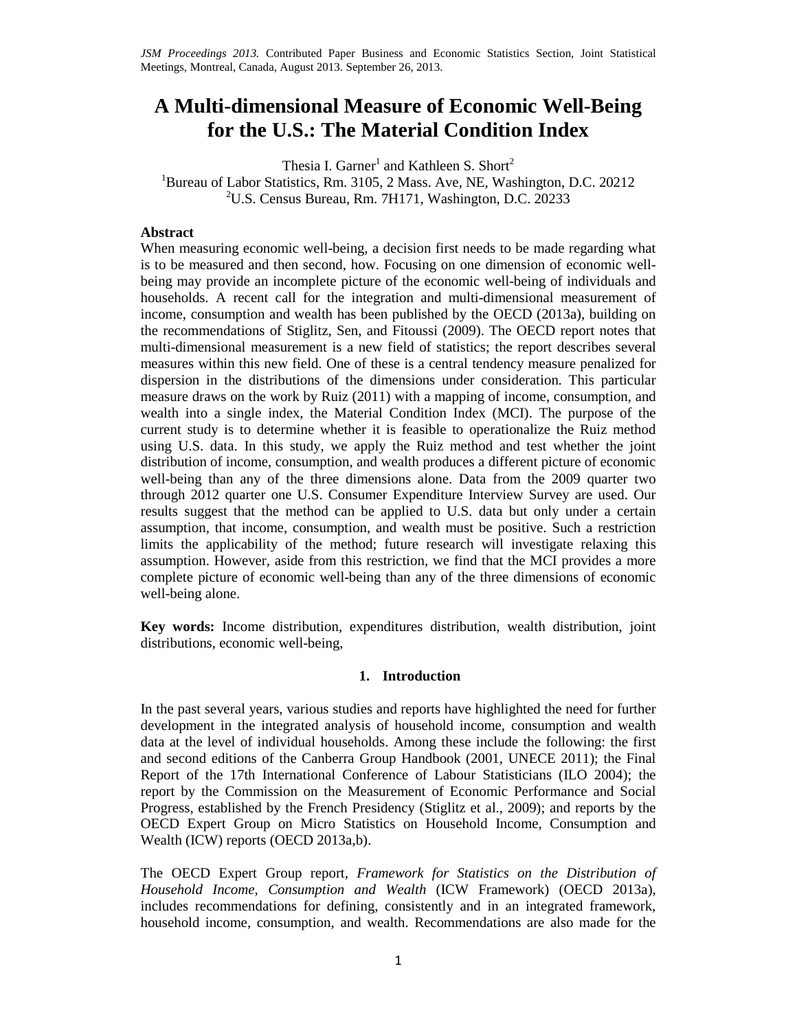# **A Multi-dimensional Measure of Economic Well-Being for the U.S.: The Material Condition Index**

Thesia I. Garner<sup>1</sup> and Kathleen S. Short<sup>2</sup>

<sup>1</sup>Bureau of Labor Statistics, Rm. 3105, 2 Mass. Ave, NE, Washington, D.C. 20212  $2^2$ U.S. Census Bureau, Rm. 7H171, Washington, D.C. 20233

# **Abstract**

When measuring economic well-being, a decision first needs to be made regarding what is to be measured and then second, how. Focusing on one dimension of economic wellbeing may provide an incomplete picture of the economic well-being of individuals and households. A recent call for the integration and multi-dimensional measurement of income, consumption and wealth has been published by the OECD (2013a), building on the recommendations of Stiglitz, Sen, and Fitoussi (2009). The OECD report notes that multi-dimensional measurement is a new field of statistics; the report describes several measures within this new field. One of these is a central tendency measure penalized for dispersion in the distributions of the dimensions under consideration. This particular measure draws on the work by Ruiz (2011) with a mapping of income, consumption, and wealth into a single index, the Material Condition Index (MCI). The purpose of the current study is to determine whether it is feasible to operationalize the Ruiz method using U.S. data. In this study, we apply the Ruiz method and test whether the joint distribution of income, consumption, and wealth produces a different picture of economic well-being than any of the three dimensions alone. Data from the 2009 quarter two through 2012 quarter one U.S. Consumer Expenditure Interview Survey are used. Our results suggest that the method can be applied to U.S. data but only under a certain assumption, that income, consumption, and wealth must be positive. Such a restriction limits the applicability of the method; future research will investigate relaxing this assumption. However, aside from this restriction, we find that the MCI provides a more complete picture of economic well-being than any of the three dimensions of economic well-being alone.

**Key words:** Income distribution, expenditures distribution, wealth distribution, joint distributions, economic well-being,

## **1. Introduction**

In the past several years, various studies and reports have highlighted the need for further development in the integrated analysis of household income, consumption and wealth data at the level of individual households. Among these include the following: the first and second editions of the Canberra Group Handbook (2001, UNECE 2011); the Final Report of the 17th International Conference of Labour Statisticians (ILO 2004); the report by the Commission on the Measurement of Economic Performance and Social Progress, established by the French Presidency (Stiglitz et al., 2009); and reports by the OECD Expert Group on Micro Statistics on Household Income, Consumption and Wealth (ICW) reports (OECD 2013a,b).

The OECD Expert Group report, *Framework for Statistics on the Distribution of Household Income, Consumption and Wealth* (ICW Framework) (OECD 2013a), includes recommendations for defining, consistently and in an integrated framework, household income, consumption, and wealth. Recommendations are also made for the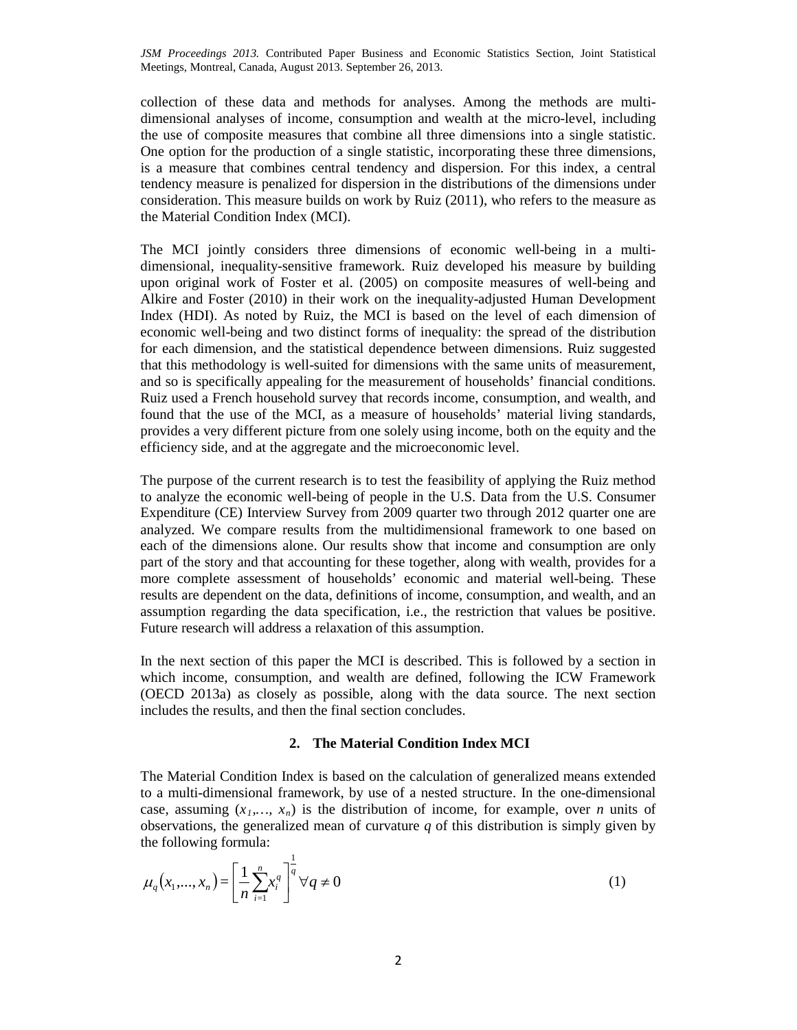collection of these data and methods for analyses. Among the methods are multidimensional analyses of income, consumption and wealth at the micro-level, including the use of composite measures that combine all three dimensions into a single statistic. One option for the production of a single statistic, incorporating these three dimensions, is a measure that combines central tendency and dispersion. For this index, a central tendency measure is penalized for dispersion in the distributions of the dimensions under consideration. This measure builds on work by Ruiz (2011), who refers to the measure as the Material Condition Index (MCI).

The MCI jointly considers three dimensions of economic well-being in a multidimensional, inequality-sensitive framework. Ruiz developed his measure by building upon original work of Foster et al. (2005) on composite measures of well-being and Alkire and Foster (2010) in their work on the inequality-adjusted Human Development Index (HDI). As noted by Ruiz, the MCI is based on the level of each dimension of economic well-being and two distinct forms of inequality: the spread of the distribution for each dimension, and the statistical dependence between dimensions. Ruiz suggested that this methodology is well-suited for dimensions with the same units of measurement, and so is specifically appealing for the measurement of households' financial conditions. Ruiz used a French household survey that records income, consumption, and wealth, and found that the use of the MCI, as a measure of households' material living standards, provides a very different picture from one solely using income, both on the equity and the efficiency side, and at the aggregate and the microeconomic level.

The purpose of the current research is to test the feasibility of applying the Ruiz method to analyze the economic well-being of people in the U.S. Data from the U.S. Consumer Expenditure (CE) Interview Survey from 2009 quarter two through 2012 quarter one are analyzed. We compare results from the multidimensional framework to one based on each of the dimensions alone. Our results show that income and consumption are only part of the story and that accounting for these together, along with wealth, provides for a more complete assessment of households' economic and material well-being. These results are dependent on the data, definitions of income, consumption, and wealth, and an assumption regarding the data specification, i.e., the restriction that values be positive. Future research will address a relaxation of this assumption.

In the next section of this paper the MCI is described. This is followed by a section in which income, consumption, and wealth are defined, following the ICW Framework (OECD 2013a) as closely as possible, along with the data source. The next section includes the results, and then the final section concludes.

# **2. The Material Condition Index MCI**

The Material Condition Index is based on the calculation of generalized means extended to a multi-dimensional framework, by use of a nested structure. In the one-dimensional case, assuming  $(x_1,...,x_n)$  is the distribution of income, for example, over *n* units of observations, the generalized mean of curvature *q* of this distribution is simply given by the following formula:

$$
\mu_q(x_1, ..., x_n) = \left[\frac{1}{n} \sum_{i=1}^n x_i^q\right]^{\frac{1}{q}} \forall q \neq 0
$$
\n(1)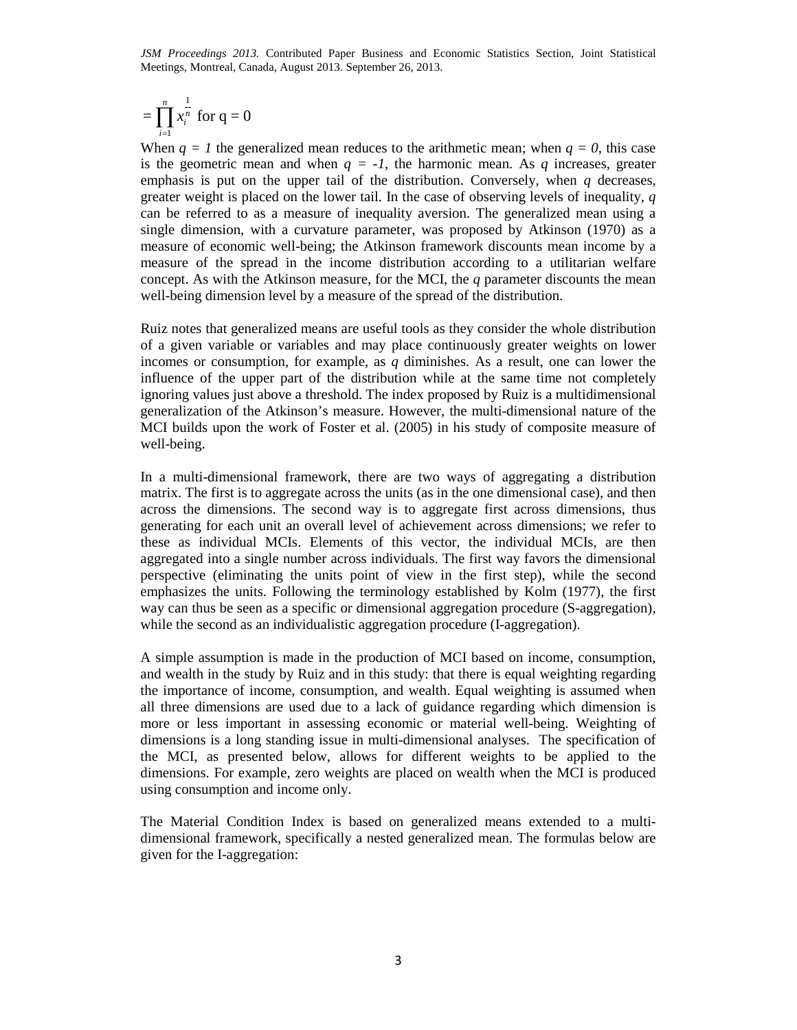$$
=\prod_{i=1}^n x_i^{\frac{1}{n}} \text{ for } q=0
$$

When  $q = 1$  the generalized mean reduces to the arithmetic mean; when  $q = 0$ , this case is the geometric mean and when  $q = -1$ , the harmonic mean. As  $q$  increases, greater emphasis is put on the upper tail of the distribution. Conversely, when *q* decreases, greater weight is placed on the lower tail. In the case of observing levels of inequality, *q* can be referred to as a measure of inequality aversion. The generalized mean using a single dimension, with a curvature parameter, was proposed by Atkinson (1970) as a measure of economic well-being; the Atkinson framework discounts mean income by a measure of the spread in the income distribution according to a utilitarian welfare concept. As with the Atkinson measure, for the MCI, the *q* parameter discounts the mean well-being dimension level by a measure of the spread of the distribution.

Ruiz notes that generalized means are useful tools as they consider the whole distribution of a given variable or variables and may place continuously greater weights on lower incomes or consumption, for example, as *q* diminishes. As a result, one can lower the influence of the upper part of the distribution while at the same time not completely ignoring values just above a threshold. The index proposed by Ruiz is a multidimensional generalization of the Atkinson's measure. However, the multi-dimensional nature of the MCI builds upon the work of Foster et al. (2005) in his study of composite measure of well-being.

In a multi-dimensional framework, there are two ways of aggregating a distribution matrix. The first is to aggregate across the units (as in the one dimensional case), and then across the dimensions. The second way is to aggregate first across dimensions, thus generating for each unit an overall level of achievement across dimensions; we refer to these as individual MCIs. Elements of this vector, the individual MCIs, are then aggregated into a single number across individuals. The first way favors the dimensional perspective (eliminating the units point of view in the first step), while the second emphasizes the units. Following the terminology established by Kolm (1977), the first way can thus be seen as a specific or dimensional aggregation procedure (S-aggregation), while the second as an individualistic aggregation procedure (I-aggregation).

A simple assumption is made in the production of MCI based on income, consumption, and wealth in the study by Ruiz and in this study: that there is equal weighting regarding the importance of income, consumption, and wealth. Equal weighting is assumed when all three dimensions are used due to a lack of guidance regarding which dimension is more or less important in assessing economic or material well-being. Weighting of dimensions is a long standing issue in multi-dimensional analyses. The specification of the MCI, as presented below, allows for different weights to be applied to the dimensions. For example, zero weights are placed on wealth when the MCI is produced using consumption and income only.

The Material Condition Index is based on generalized means extended to a multidimensional framework, specifically a nested generalized mean. The formulas below are given for the I-aggregation: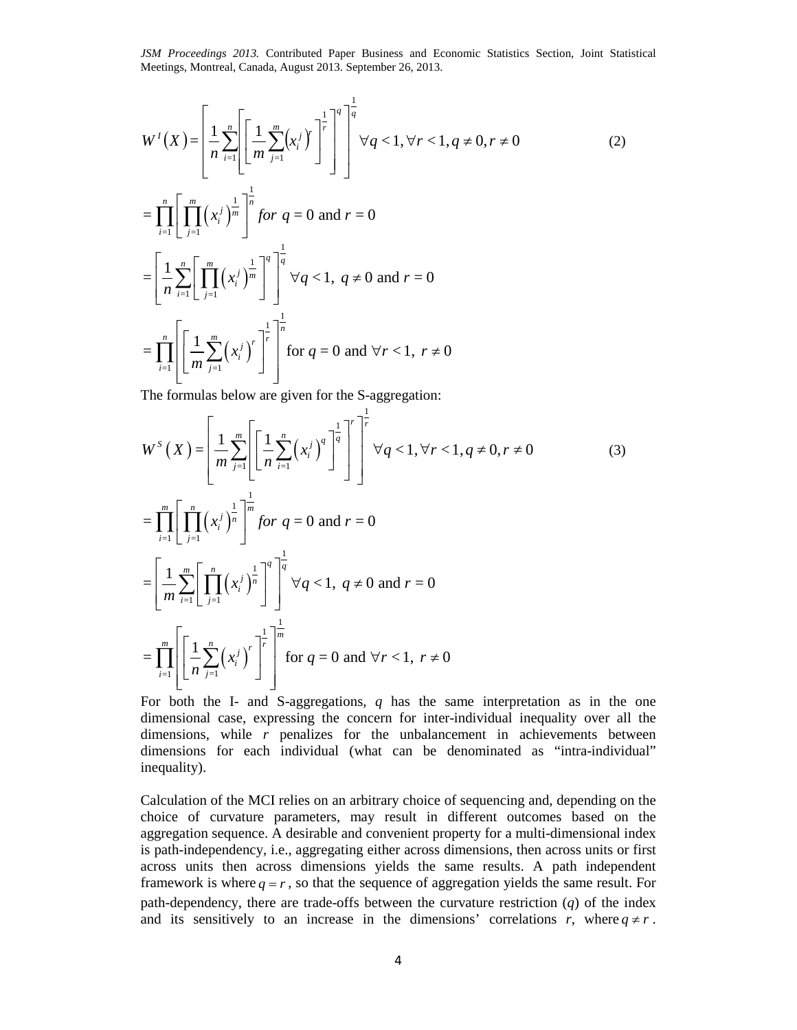$$
W^{I}(X) = \left[\frac{1}{n} \sum_{i=1}^{n} \left[ \left[ \frac{1}{m} \sum_{j=1}^{m} (x_{i}^{j})^{r} \right]^{1} \right]^{1} \right]^{1} \forall q < 1, \forall r < 1, q \neq 0, r \neq 0
$$
\n
$$
= \prod_{i=1}^{n} \left[ \prod_{j=1}^{m} (x_{i}^{j})^{1} \right]^{1} \left[ \int_{0}^{m} f \circ r \circ q = 0 \text{ and } r = 0 \right]
$$
\n
$$
= \left[ \frac{1}{n} \sum_{i=1}^{n} \left[ \prod_{j=1}^{m} (x_{i}^{j})^{1} \right]^{1} \right]^{1} \forall q < 1, q \neq 0 \text{ and } r = 0
$$
\n
$$
= \prod_{i=1}^{n} \left[ \left[ \frac{1}{m} \sum_{j=1}^{m} (x_{i}^{j})^{r} \right]^{1} \right]^{1} \left[ \text{for } q = 0 \text{ and } \forall r < 1, r \neq 0 \right]
$$
\n(2)

The formulas below are given for the S-aggregation:

$$
W^{s}(X) = \left[\frac{1}{m} \sum_{j=1}^{m} \left[ \frac{1}{n} \sum_{i=1}^{n} (x_{i}^{j})^{q} \right]^{1} \right]^{r} \forall q < 1, \forall r < 1, q \neq 0, r \neq 0
$$
\n
$$
= \prod_{i=1}^{m} \left[ \prod_{j=1}^{n} (x_{i}^{j})^{\frac{1}{n}} \right]^{1} \text{ for } q = 0 \text{ and } r = 0
$$
\n
$$
= \left[ \frac{1}{m} \sum_{i=1}^{m} \left[ \prod_{j=1}^{n} (x_{i}^{j})^{\frac{1}{n}} \right]^{q} \right]^{1} \forall q < 1, q \neq 0 \text{ and } r = 0
$$
\n
$$
= \prod_{i=1}^{m} \left[ \left[ \frac{1}{n} \sum_{j=1}^{n} (x_{i}^{j})^{r} \right]^{1} \right]^{1} \text{ for } q = 0 \text{ and } \forall r < 1, r \neq 0
$$
\n
$$
(3)
$$

For both the I- and S-aggregations, *q* has the same interpretation as in the one dimensional case, expressing the concern for inter-individual inequality over all the dimensions, while *r* penalizes for the unbalancement in achievements between dimensions for each individual (what can be denominated as "intra-individual" inequality).

Calculation of the MCI relies on an arbitrary choice of sequencing and, depending on the choice of curvature parameters, may result in different outcomes based on the aggregation sequence. A desirable and convenient property for a multi-dimensional index is path-independency, i.e., aggregating either across dimensions, then across units or first across units then across dimensions yields the same results. A path independent framework is where  $q = r$ , so that the sequence of aggregation yields the same result. For path-dependency, there are trade-offs between the curvature restriction (*q*) of the index and its sensitively to an increase in the dimensions' correlations *r*, where  $q \neq r$ .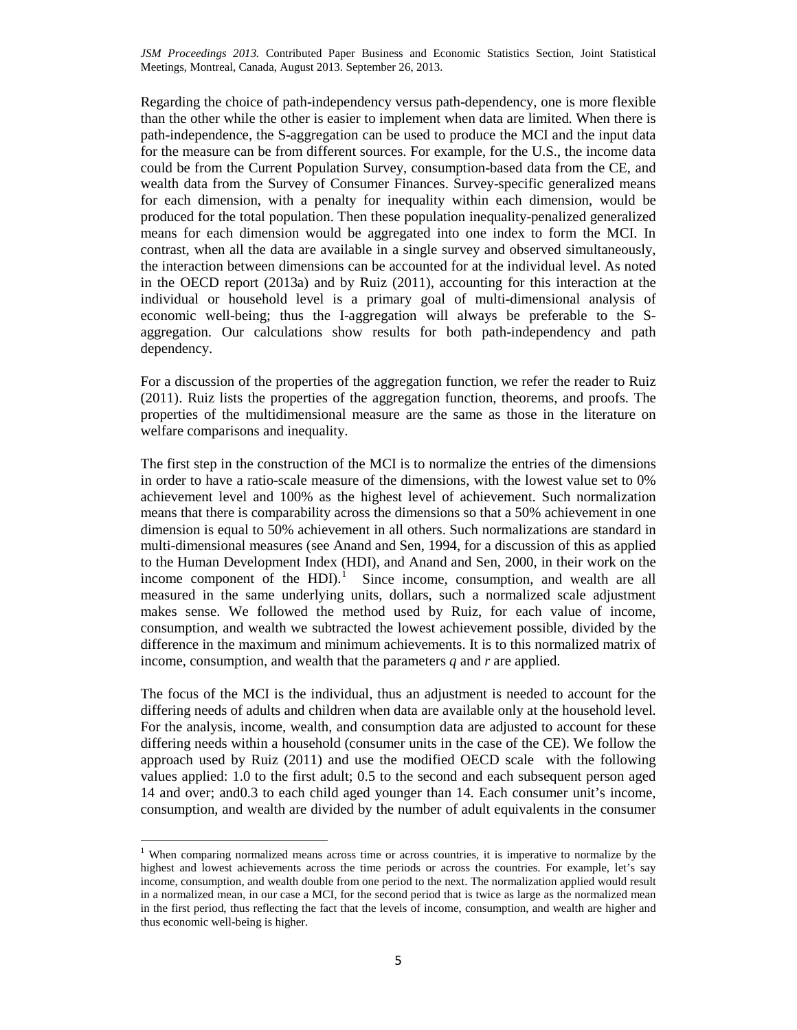Regarding the choice of path-independency versus path-dependency, one is more flexible than the other while the other is easier to implement when data are limited. When there is path-independence, the S-aggregation can be used to produce the MCI and the input data for the measure can be from different sources. For example, for the U.S., the income data could be from the Current Population Survey, consumption-based data from the CE, and wealth data from the Survey of Consumer Finances. Survey-specific generalized means for each dimension, with a penalty for inequality within each dimension, would be produced for the total population. Then these population inequality-penalized generalized means for each dimension would be aggregated into one index to form the MCI. In contrast, when all the data are available in a single survey and observed simultaneously, the interaction between dimensions can be accounted for at the individual level. As noted in the OECD report (2013a) and by Ruiz (2011), accounting for this interaction at the individual or household level is a primary goal of multi-dimensional analysis of economic well-being; thus the I-aggregation will always be preferable to the Saggregation. Our calculations show results for both path-independency and path dependency.

For a discussion of the properties of the aggregation function, we refer the reader to Ruiz (2011). Ruiz lists the properties of the aggregation function, theorems, and proofs. The properties of the multidimensional measure are the same as those in the literature on welfare comparisons and inequality.

The first step in the construction of the MCI is to normalize the entries of the dimensions in order to have a ratio-scale measure of the dimensions, with the lowest value set to 0% achievement level and 100% as the highest level of achievement. Such normalization means that there is comparability across the dimensions so that a 50% achievement in one dimension is equal to 50% achievement in all others. Such normalizations are standard in multi-dimensional measures (see Anand and Sen, 1994, for a discussion of this as applied to the Human Development Index (HDI), and Anand and Sen, 2000, in their work on the income component of the HDI $)$ .<sup>[1](#page-4-0)</sup> Since income, consumption, and wealth are all measured in the same underlying units, dollars, such a normalized scale adjustment makes sense. We followed the method used by Ruiz, for each value of income, consumption, and wealth we subtracted the lowest achievement possible, divided by the difference in the maximum and minimum achievements. It is to this normalized matrix of income, consumption, and wealth that the parameters *q* and *r* are applied.

The focus of the MCI is the individual, thus an adjustment is needed to account for the differing needs of adults and children when data are available only at the household level. For the analysis, income, wealth, and consumption data are adjusted to account for these differing needs within a household (consumer units in the case of the CE). We follow the approach used by Ruiz (2011) and use the modified OECD scale with the following values applied: 1.0 to the first adult; 0.5 to the second and each subsequent person aged 14 and over; and0.3 to each child aged younger than 14. Each consumer unit's income, consumption, and wealth are divided by the number of adult equivalents in the consumer

l

<span id="page-4-0"></span><sup>&</sup>lt;sup>1</sup> When comparing normalized means across time or across countries, it is imperative to normalize by the highest and lowest achievements across the time periods or across the countries. For example, let's say income, consumption, and wealth double from one period to the next. The normalization applied would result in a normalized mean, in our case a MCI, for the second period that is twice as large as the normalized mean in the first period, thus reflecting the fact that the levels of income, consumption, and wealth are higher and thus economic well-being is higher.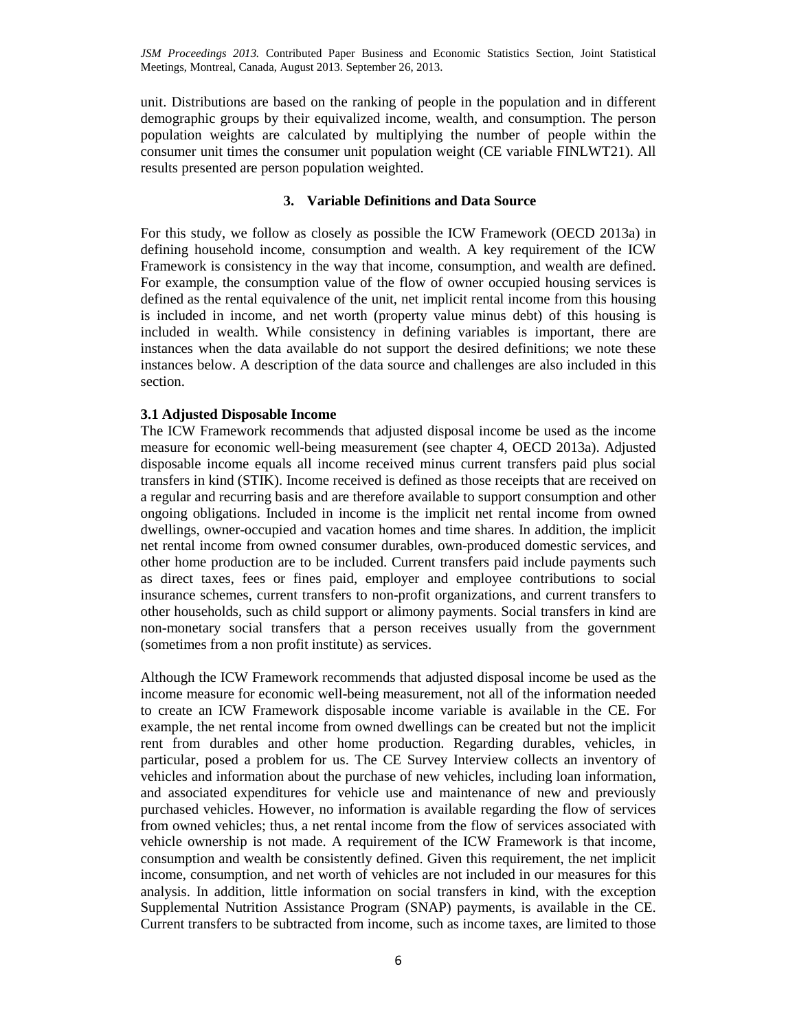unit. Distributions are based on the ranking of people in the population and in different demographic groups by their equivalized income, wealth, and consumption. The person population weights are calculated by multiplying the number of people within the consumer unit times the consumer unit population weight (CE variable FINLWT21). All results presented are person population weighted.

# **3. Variable Definitions and Data Source**

For this study, we follow as closely as possible the ICW Framework (OECD 2013a) in defining household income, consumption and wealth. A key requirement of the ICW Framework is consistency in the way that income, consumption, and wealth are defined. For example, the consumption value of the flow of owner occupied housing services is defined as the rental equivalence of the unit, net implicit rental income from this housing is included in income, and net worth (property value minus debt) of this housing is included in wealth. While consistency in defining variables is important, there are instances when the data available do not support the desired definitions; we note these instances below. A description of the data source and challenges are also included in this section.

# **3.1 Adjusted Disposable Income**

The ICW Framework recommends that adjusted disposal income be used as the income measure for economic well-being measurement (see chapter 4, OECD 2013a). Adjusted disposable income equals all income received minus current transfers paid plus social transfers in kind (STIK). Income received is defined as those receipts that are received on a regular and recurring basis and are therefore available to support consumption and other ongoing obligations. Included in income is the implicit net rental income from owned dwellings, owner-occupied and vacation homes and time shares. In addition, the implicit net rental income from owned consumer durables, own-produced domestic services, and other home production are to be included. Current transfers paid include payments such as direct taxes, fees or fines paid, employer and employee contributions to social insurance schemes, current transfers to non-profit organizations, and current transfers to other households, such as child support or alimony payments. Social transfers in kind are non-monetary social transfers that a person receives usually from the government (sometimes from a non profit institute) as services.

Although the ICW Framework recommends that adjusted disposal income be used as the income measure for economic well-being measurement, not all of the information needed to create an ICW Framework disposable income variable is available in the CE. For example, the net rental income from owned dwellings can be created but not the implicit rent from durables and other home production. Regarding durables, vehicles, in particular, posed a problem for us. The CE Survey Interview collects an inventory of vehicles and information about the purchase of new vehicles, including loan information, and associated expenditures for vehicle use and maintenance of new and previously purchased vehicles. However, no information is available regarding the flow of services from owned vehicles; thus, a net rental income from the flow of services associated with vehicle ownership is not made. A requirement of the ICW Framework is that income, consumption and wealth be consistently defined. Given this requirement, the net implicit income, consumption, and net worth of vehicles are not included in our measures for this analysis. In addition, little information on social transfers in kind, with the exception Supplemental Nutrition Assistance Program (SNAP) payments, is available in the CE. Current transfers to be subtracted from income, such as income taxes, are limited to those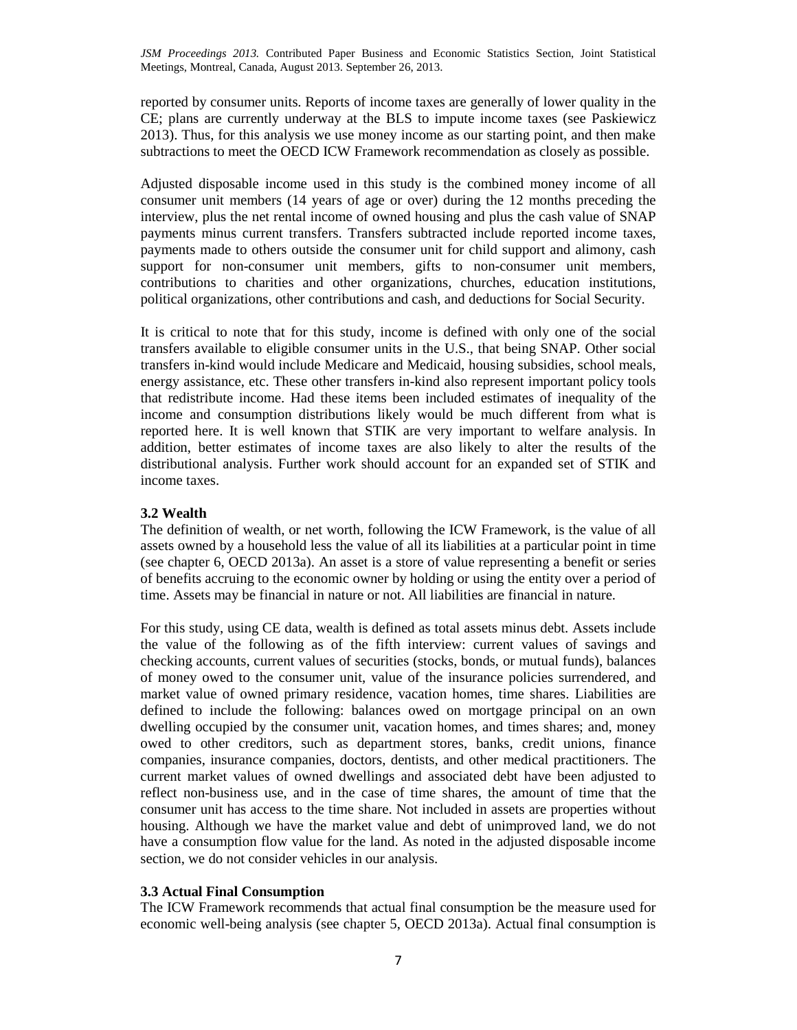reported by consumer units. Reports of income taxes are generally of lower quality in the CE; plans are currently underway at the BLS to impute income taxes (see Paskiewicz 2013). Thus, for this analysis we use money income as our starting point, and then make subtractions to meet the OECD ICW Framework recommendation as closely as possible.

Adjusted disposable income used in this study is the combined money income of all consumer unit members (14 years of age or over) during the 12 months preceding the interview, plus the net rental income of owned housing and plus the cash value of SNAP payments minus current transfers. Transfers subtracted include reported income taxes, payments made to others outside the consumer unit for child support and alimony, cash support for non-consumer unit members, gifts to non-consumer unit members, contributions to charities and other organizations, churches, education institutions, political organizations, other contributions and cash, and deductions for Social Security.

It is critical to note that for this study, income is defined with only one of the social transfers available to eligible consumer units in the U.S., that being SNAP. Other social transfers in-kind would include Medicare and Medicaid, housing subsidies, school meals, energy assistance, etc. These other transfers in-kind also represent important policy tools that redistribute income. Had these items been included estimates of inequality of the income and consumption distributions likely would be much different from what is reported here. It is well known that STIK are very important to welfare analysis. In addition, better estimates of income taxes are also likely to alter the results of the distributional analysis. Further work should account for an expanded set of STIK and income taxes.

## **3.2 Wealth**

The definition of wealth, or net worth, following the ICW Framework, is the value of all assets owned by a household less the value of all its liabilities at a particular point in time (see chapter 6, OECD 2013a). An asset is a store of value representing a benefit or series of benefits accruing to the economic owner by holding or using the entity over a period of time. Assets may be financial in nature or not. All liabilities are financial in nature.

For this study, using CE data, wealth is defined as total assets minus debt. Assets include the value of the following as of the fifth interview: current values of savings and checking accounts, current values of securities (stocks, bonds, or mutual funds), balances of money owed to the consumer unit, value of the insurance policies surrendered, and market value of owned primary residence, vacation homes, time shares. Liabilities are defined to include the following: balances owed on mortgage principal on an own dwelling occupied by the consumer unit, vacation homes, and times shares; and, money owed to other creditors, such as department stores, banks, credit unions, finance companies, insurance companies, doctors, dentists, and other medical practitioners. The current market values of owned dwellings and associated debt have been adjusted to reflect non-business use, and in the case of time shares, the amount of time that the consumer unit has access to the time share. Not included in assets are properties without housing. Although we have the market value and debt of unimproved land, we do not have a consumption flow value for the land. As noted in the adjusted disposable income section, we do not consider vehicles in our analysis.

#### **3.3 Actual Final Consumption**

The ICW Framework recommends that actual final consumption be the measure used for economic well-being analysis (see chapter 5, OECD 2013a). Actual final consumption is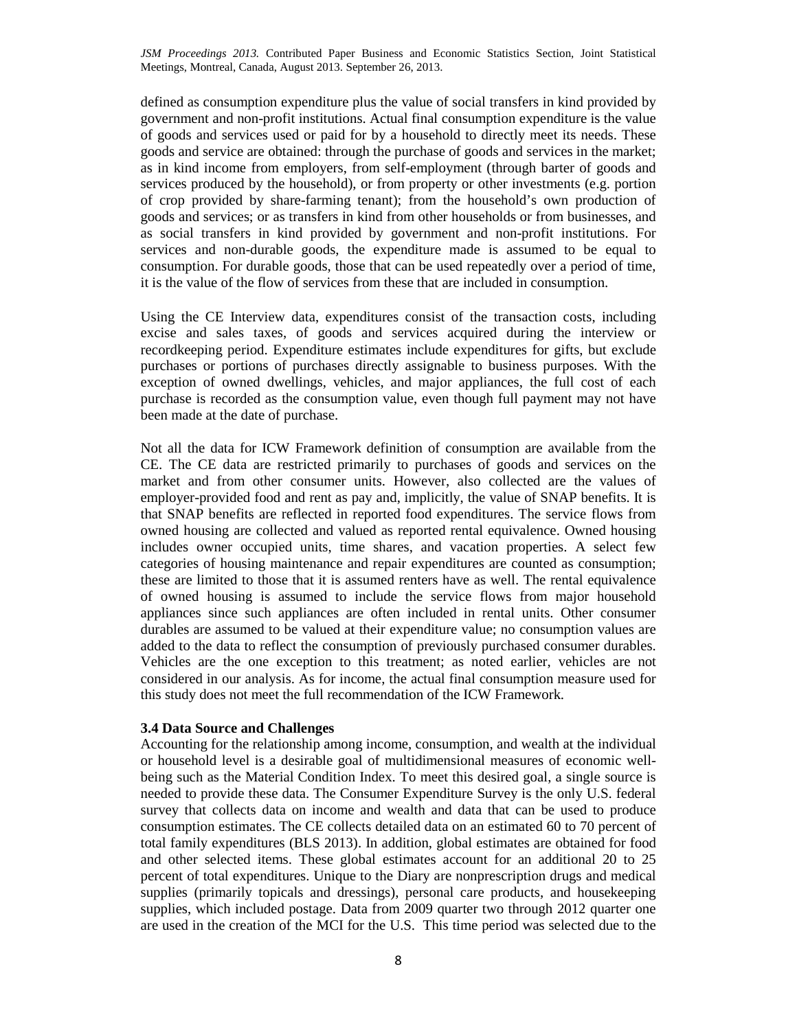defined as consumption expenditure plus the value of social transfers in kind provided by government and non-profit institutions. Actual final consumption expenditure is the value of goods and services used or paid for by a household to directly meet its needs. These goods and service are obtained: through the purchase of goods and services in the market; as in kind income from employers, from self-employment (through barter of goods and services produced by the household), or from property or other investments (e.g. portion of crop provided by share-farming tenant); from the household's own production of goods and services; or as transfers in kind from other households or from businesses, and as social transfers in kind provided by government and non-profit institutions. For services and non-durable goods, the expenditure made is assumed to be equal to consumption. For durable goods, those that can be used repeatedly over a period of time, it is the value of the flow of services from these that are included in consumption.

Using the CE Interview data, expenditures consist of the transaction costs, including excise and sales taxes, of goods and services acquired during the interview or recordkeeping period. Expenditure estimates include expenditures for gifts, but exclude purchases or portions of purchases directly assignable to business purposes. With the exception of owned dwellings, vehicles, and major appliances, the full cost of each purchase is recorded as the consumption value, even though full payment may not have been made at the date of purchase.

Not all the data for ICW Framework definition of consumption are available from the CE. The CE data are restricted primarily to purchases of goods and services on the market and from other consumer units. However, also collected are the values of employer-provided food and rent as pay and, implicitly, the value of SNAP benefits. It is that SNAP benefits are reflected in reported food expenditures. The service flows from owned housing are collected and valued as reported rental equivalence. Owned housing includes owner occupied units, time shares, and vacation properties. A select few categories of housing maintenance and repair expenditures are counted as consumption; these are limited to those that it is assumed renters have as well. The rental equivalence of owned housing is assumed to include the service flows from major household appliances since such appliances are often included in rental units. Other consumer durables are assumed to be valued at their expenditure value; no consumption values are added to the data to reflect the consumption of previously purchased consumer durables. Vehicles are the one exception to this treatment; as noted earlier, vehicles are not considered in our analysis. As for income, the actual final consumption measure used for this study does not meet the full recommendation of the ICW Framework.

## **3.4 Data Source and Challenges**

Accounting for the relationship among income, consumption, and wealth at the individual or household level is a desirable goal of multidimensional measures of economic wellbeing such as the Material Condition Index. To meet this desired goal, a single source is needed to provide these data. The Consumer Expenditure Survey is the only U.S. federal survey that collects data on income and wealth and data that can be used to produce consumption estimates. The CE collects detailed data on an estimated 60 to 70 percent of total family expenditures (BLS 2013). In addition, global estimates are obtained for food and other selected items. These global estimates account for an additional 20 to 25 percent of total expenditures. Unique to the Diary are nonprescription drugs and medical supplies (primarily topicals and dressings), personal care products, and housekeeping supplies, which included postage. Data from 2009 quarter two through 2012 quarter one are used in the creation of the MCI for the U.S. This time period was selected due to the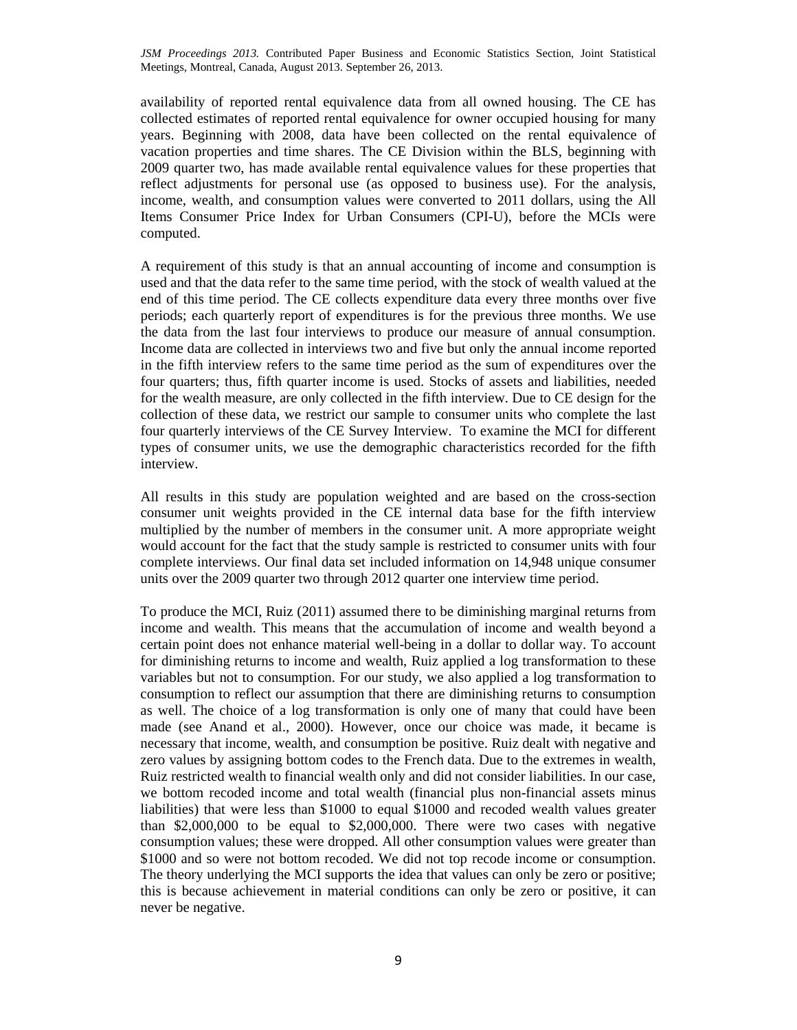availability of reported rental equivalence data from all owned housing. The CE has collected estimates of reported rental equivalence for owner occupied housing for many years. Beginning with 2008, data have been collected on the rental equivalence of vacation properties and time shares. The CE Division within the BLS, beginning with 2009 quarter two, has made available rental equivalence values for these properties that reflect adjustments for personal use (as opposed to business use). For the analysis, income, wealth, and consumption values were converted to 2011 dollars, using the All Items Consumer Price Index for Urban Consumers (CPI-U), before the MCIs were computed.

A requirement of this study is that an annual accounting of income and consumption is used and that the data refer to the same time period, with the stock of wealth valued at the end of this time period. The CE collects expenditure data every three months over five periods; each quarterly report of expenditures is for the previous three months. We use the data from the last four interviews to produce our measure of annual consumption. Income data are collected in interviews two and five but only the annual income reported in the fifth interview refers to the same time period as the sum of expenditures over the four quarters; thus, fifth quarter income is used. Stocks of assets and liabilities, needed for the wealth measure, are only collected in the fifth interview. Due to CE design for the collection of these data, we restrict our sample to consumer units who complete the last four quarterly interviews of the CE Survey Interview. To examine the MCI for different types of consumer units, we use the demographic characteristics recorded for the fifth interview.

All results in this study are population weighted and are based on the cross-section consumer unit weights provided in the CE internal data base for the fifth interview multiplied by the number of members in the consumer unit. A more appropriate weight would account for the fact that the study sample is restricted to consumer units with four complete interviews. Our final data set included information on 14,948 unique consumer units over the 2009 quarter two through 2012 quarter one interview time period.

To produce the MCI, Ruiz (2011) assumed there to be diminishing marginal returns from income and wealth. This means that the accumulation of income and wealth beyond a certain point does not enhance material well-being in a dollar to dollar way. To account for diminishing returns to income and wealth, Ruiz applied a log transformation to these variables but not to consumption. For our study, we also applied a log transformation to consumption to reflect our assumption that there are diminishing returns to consumption as well. The choice of a log transformation is only one of many that could have been made (see Anand et al., 2000). However, once our choice was made, it became is necessary that income, wealth, and consumption be positive. Ruiz dealt with negative and zero values by assigning bottom codes to the French data. Due to the extremes in wealth, Ruiz restricted wealth to financial wealth only and did not consider liabilities. In our case, we bottom recoded income and total wealth (financial plus non-financial assets minus liabilities) that were less than \$1000 to equal \$1000 and recoded wealth values greater than \$2,000,000 to be equal to \$2,000,000. There were two cases with negative consumption values; these were dropped. All other consumption values were greater than \$1000 and so were not bottom recoded. We did not top recode income or consumption. The theory underlying the MCI supports the idea that values can only be zero or positive; this is because achievement in material conditions can only be zero or positive, it can never be negative.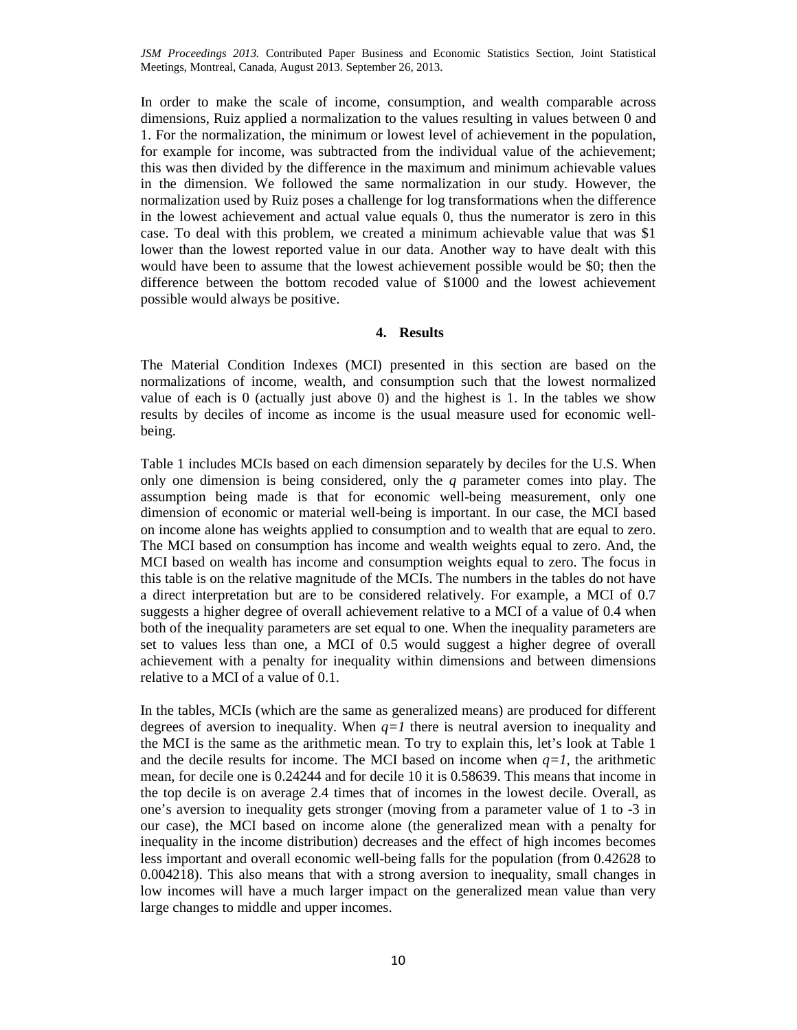In order to make the scale of income, consumption, and wealth comparable across dimensions, Ruiz applied a normalization to the values resulting in values between 0 and 1. For the normalization, the minimum or lowest level of achievement in the population, for example for income, was subtracted from the individual value of the achievement; this was then divided by the difference in the maximum and minimum achievable values in the dimension. We followed the same normalization in our study. However, the normalization used by Ruiz poses a challenge for log transformations when the difference in the lowest achievement and actual value equals 0, thus the numerator is zero in this case. To deal with this problem, we created a minimum achievable value that was \$1 lower than the lowest reported value in our data. Another way to have dealt with this would have been to assume that the lowest achievement possible would be \$0; then the difference between the bottom recoded value of \$1000 and the lowest achievement possible would always be positive.

## **4. Results**

The Material Condition Indexes (MCI) presented in this section are based on the normalizations of income, wealth, and consumption such that the lowest normalized value of each is 0 (actually just above 0) and the highest is 1. In the tables we show results by deciles of income as income is the usual measure used for economic wellbeing.

Table 1 includes MCIs based on each dimension separately by deciles for the U.S. When only one dimension is being considered, only the *q* parameter comes into play. The assumption being made is that for economic well-being measurement, only one dimension of economic or material well-being is important. In our case, the MCI based on income alone has weights applied to consumption and to wealth that are equal to zero. The MCI based on consumption has income and wealth weights equal to zero. And, the MCI based on wealth has income and consumption weights equal to zero. The focus in this table is on the relative magnitude of the MCIs. The numbers in the tables do not have a direct interpretation but are to be considered relatively. For example, a MCI of 0.7 suggests a higher degree of overall achievement relative to a MCI of a value of 0.4 when both of the inequality parameters are set equal to one. When the inequality parameters are set to values less than one, a MCI of 0.5 would suggest a higher degree of overall achievement with a penalty for inequality within dimensions and between dimensions relative to a MCI of a value of 0.1.

In the tables, MCIs (which are the same as generalized means) are produced for different degrees of aversion to inequality. When  $q=1$  there is neutral aversion to inequality and the MCI is the same as the arithmetic mean. To try to explain this, let's look at Table 1 and the decile results for income. The MCI based on income when  $q=1$ , the arithmetic mean, for decile one is 0.24244 and for decile 10 it is 0.58639. This means that income in the top decile is on average 2.4 times that of incomes in the lowest decile. Overall, as one's aversion to inequality gets stronger (moving from a parameter value of 1 to -3 in our case), the MCI based on income alone (the generalized mean with a penalty for inequality in the income distribution) decreases and the effect of high incomes becomes less important and overall economic well-being falls for the population (from 0.42628 to 0.004218). This also means that with a strong aversion to inequality, small changes in low incomes will have a much larger impact on the generalized mean value than very large changes to middle and upper incomes.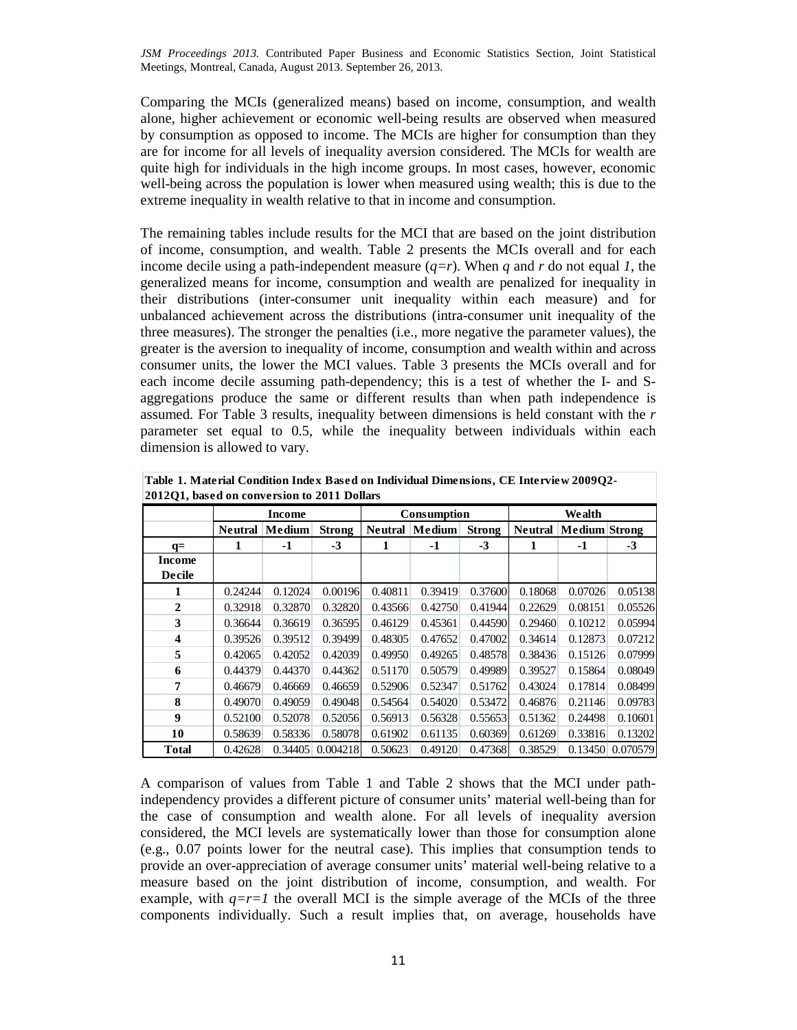Comparing the MCIs (generalized means) based on income, consumption, and wealth alone, higher achievement or economic well-being results are observed when measured by consumption as opposed to income. The MCIs are higher for consumption than they are for income for all levels of inequality aversion considered. The MCIs for wealth are quite high for individuals in the high income groups. In most cases, however, economic well-being across the population is lower when measured using wealth; this is due to the extreme inequality in wealth relative to that in income and consumption.

The remaining tables include results for the MCI that are based on the joint distribution of income, consumption, and wealth. Table 2 presents the MCIs overall and for each income decile using a path-independent measure  $(q=r)$ . When q and r do not equal 1, the generalized means for income, consumption and wealth are penalized for inequality in their distributions (inter-consumer unit inequality within each measure) and for unbalanced achievement across the distributions (intra-consumer unit inequality of the three measures). The stronger the penalties (i.e., more negative the parameter values), the greater is the aversion to inequality of income, consumption and wealth within and across consumer units, the lower the MCI values. Table 3 presents the MCIs overall and for each income decile assuming path-dependency; this is a test of whether the I- and Saggregations produce the same or different results than when path independence is assumed. For Table 3 results, inequality between dimensions is held constant with the *r* parameter set equal to 0.5, while the inequality between individuals within each dimension is allowed to vary.

| 2012Q1, based on conversion to 2011 Dollars |                |         |               |             |                       |               |                |                      |          |
|---------------------------------------------|----------------|---------|---------------|-------------|-----------------------|---------------|----------------|----------------------|----------|
|                                             | Income         |         |               | Consumption |                       |               | Wealth         |                      |          |
|                                             | <b>Neutral</b> | Medium  | <b>Strong</b> |             | <b>Neutral Medium</b> | <b>Strong</b> | <b>Neutral</b> | <b>Medium</b> Strong |          |
| $q=$                                        | 1              | $-1$    | $-3$          | 1           | $-1$                  | $-3$          | 1              | -1                   | $-3$     |
| Income                                      |                |         |               |             |                       |               |                |                      |          |
| <b>Decile</b>                               |                |         |               |             |                       |               |                |                      |          |
| 1                                           | 0.24244        | 0.12024 | 0.00196       | 0.40811     | 0.39419               | 0.37600       | 0.18068        | 0.07026              | 0.05138  |
| $\overline{2}$                              | 0.32918        | 0.32870 | 0.32820       | 0.43566     | 0.42750               | 0.41944       | 0.22629        | 0.08151              | 0.05526  |
| 3                                           | 0.36644        | 0.36619 | 0.36595       | 0.46129     | 0.45361               | 0.44590       | 0.29460        | 0.10212              | 0.05994  |
| 4                                           | 0.39526        | 0.39512 | 0.39499       | 0.48305     | 0.47652               | 0.47002       | 0.34614        | 0.12873              | 0.07212  |
| 5                                           | 0.42065        | 0.42052 | 0.42039       | 0.49950     | 0.49265               | 0.48578       | 0.38436        | 0.15126              | 0.07999  |
| 6                                           | 0.44379        | 0.44370 | 0.44362       | 0.51170     | 0.50579               | 0.49989       | 0.39527        | 0.15864              | 0.08049  |
| 7                                           | 0.46679        | 0.46669 | 0.46659       | 0.52906     | 0.52347               | 0.51762       | 0.43024        | 0.17814              | 0.08499  |
| 8                                           | 0.49070        | 0.49059 | 0.49048       | 0.54564     | 0.54020               | 0.53472       | 0.46876        | 0.21146              | 0.09783  |
| $\boldsymbol{9}$                            | 0.52100        | 0.52078 | 0.52056       | 0.56913     | 0.56328               | 0.55653       | 0.51362        | 0.24498              | 0.10601  |
| 10                                          | 0.58639        | 0.58336 | 0.58078       | 0.61902     | 0.61135               | 0.60369       | 0.61269        | 0.33816              | 0.13202  |
| <b>Total</b>                                | 0.42628        | 0.34405 | 0.004218      | 0.50623     | 0.49120               | 0.47368       | 0.38529        | 0.13450              | 0.070579 |

**Table 1. Material Condition Index Based on Individual Dimensions, CE Interview 2009Q2-**

A comparison of values from Table 1 and Table 2 shows that the MCI under pathindependency provides a different picture of consumer units' material well-being than for the case of consumption and wealth alone. For all levels of inequality aversion considered, the MCI levels are systematically lower than those for consumption alone (e.g., 0.07 points lower for the neutral case). This implies that consumption tends to provide an over-appreciation of average consumer units' material well-being relative to a measure based on the joint distribution of income, consumption, and wealth. For example, with  $q=r=1$  the overall MCI is the simple average of the MCIs of the three components individually. Such a result implies that, on average, households have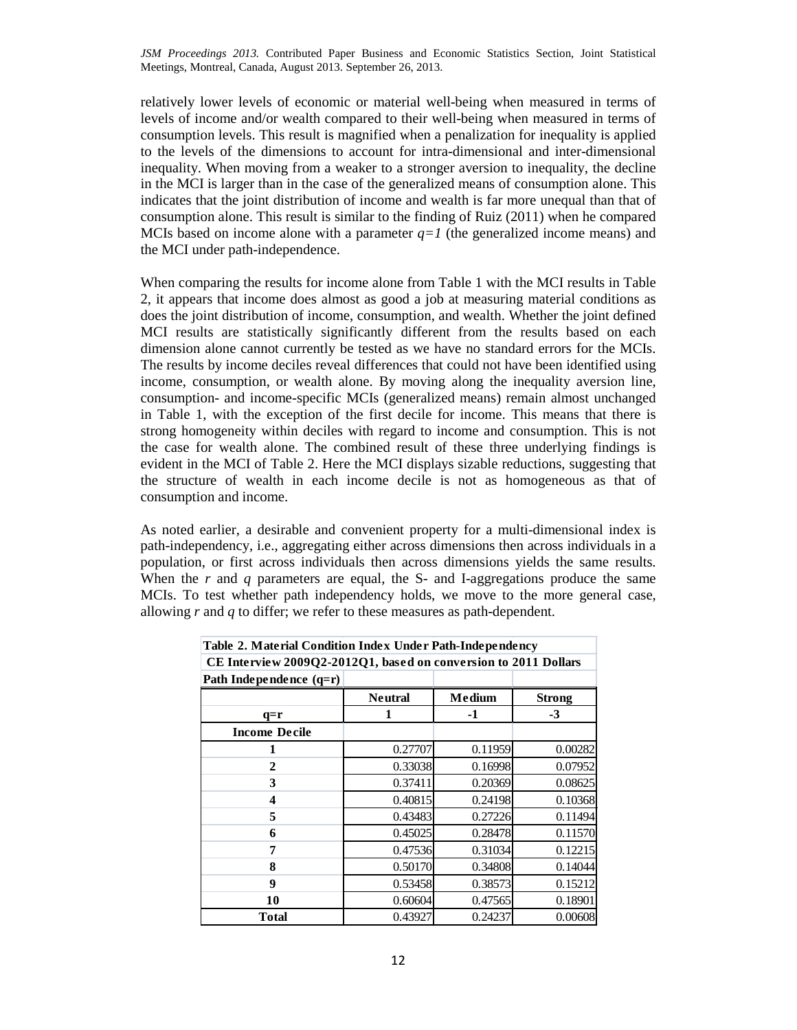relatively lower levels of economic or material well-being when measured in terms of levels of income and/or wealth compared to their well-being when measured in terms of consumption levels. This result is magnified when a penalization for inequality is applied to the levels of the dimensions to account for intra-dimensional and inter-dimensional inequality. When moving from a weaker to a stronger aversion to inequality, the decline in the MCI is larger than in the case of the generalized means of consumption alone. This indicates that the joint distribution of income and wealth is far more unequal than that of consumption alone. This result is similar to the finding of Ruiz (2011) when he compared MCIs based on income alone with a parameter  $q=1$  (the generalized income means) and the MCI under path-independence.

When comparing the results for income alone from Table 1 with the MCI results in Table 2, it appears that income does almost as good a job at measuring material conditions as does the joint distribution of income, consumption, and wealth. Whether the joint defined MCI results are statistically significantly different from the results based on each dimension alone cannot currently be tested as we have no standard errors for the MCIs. The results by income deciles reveal differences that could not have been identified using income, consumption, or wealth alone. By moving along the inequality aversion line, consumption- and income-specific MCIs (generalized means) remain almost unchanged in Table 1, with the exception of the first decile for income. This means that there is strong homogeneity within deciles with regard to income and consumption. This is not the case for wealth alone. The combined result of these three underlying findings is evident in the MCI of Table 2. Here the MCI displays sizable reductions, suggesting that the structure of wealth in each income decile is not as homogeneous as that of consumption and income.

As noted earlier, a desirable and convenient property for a multi-dimensional index is path-independency, i.e., aggregating either across dimensions then across individuals in a population, or first across individuals then across dimensions yields the same results. When the  $r$  and  $q$  parameters are equal, the S- and I-aggregations produce the same MCIs. To test whether path independency holds, we move to the more general case, allowing *r* and *q* to differ; we refer to these measures as path-dependent.

| Table 2. Material Condition Index Under Path-Independency       |                |         |               |  |  |  |  |
|-----------------------------------------------------------------|----------------|---------|---------------|--|--|--|--|
| CE Interview 2009Q2-2012Q1, based on conversion to 2011 Dollars |                |         |               |  |  |  |  |
| Path Independence $(q=r)$                                       |                |         |               |  |  |  |  |
|                                                                 | <b>Neutral</b> | Medium  | <b>Strong</b> |  |  |  |  |
| $q=r$                                                           | 1              | -1      | $-3$          |  |  |  |  |
| <b>Income Decile</b>                                            |                |         |               |  |  |  |  |
|                                                                 | 0.27707        | 0.11959 | 0.00282       |  |  |  |  |
| 2                                                               | 0.33038        | 0.16998 | 0.07952       |  |  |  |  |
| 3                                                               | 0.37411        | 0.20369 | 0.08625       |  |  |  |  |
| 4                                                               | 0.40815        | 0.24198 | 0.10368       |  |  |  |  |
| 5                                                               | 0.43483        | 0.27226 | 0.11494       |  |  |  |  |
| 6                                                               | 0.45025        | 0.28478 | 0.11570       |  |  |  |  |
| 7                                                               | 0.47536        | 0.31034 | 0.12215       |  |  |  |  |
| 8                                                               | 0.50170        | 0.34808 | 0.14044       |  |  |  |  |
| 9                                                               | 0.53458        | 0.38573 | 0.15212       |  |  |  |  |
| 10                                                              | 0.60604        | 0.47565 | 0.18901       |  |  |  |  |
| <b>Total</b>                                                    | 0.43927        | 0.24237 | 0.00608       |  |  |  |  |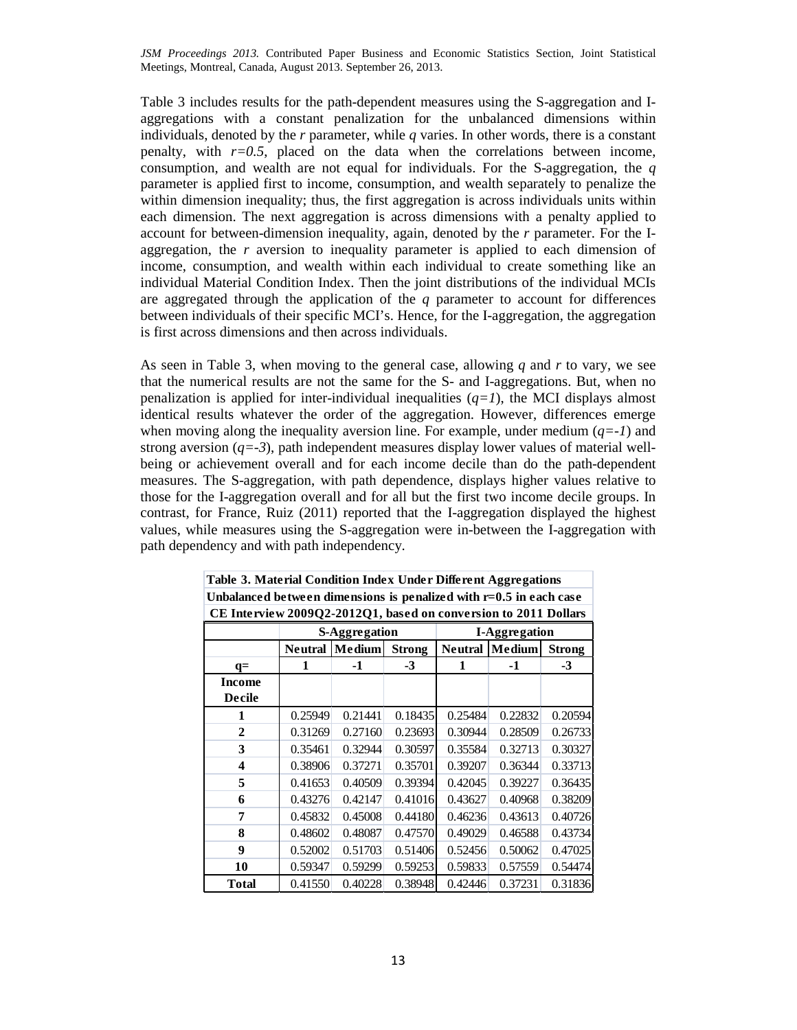Table 3 includes results for the path-dependent measures using the S-aggregation and Iaggregations with a constant penalization for the unbalanced dimensions within individuals, denoted by the *r* parameter, while *q* varies. In other words, there is a constant penalty, with  $r=0.5$ , placed on the data when the correlations between income, consumption, and wealth are not equal for individuals. For the S-aggregation, the *q* parameter is applied first to income, consumption, and wealth separately to penalize the within dimension inequality; thus, the first aggregation is across individuals units within each dimension. The next aggregation is across dimensions with a penalty applied to account for between-dimension inequality, again, denoted by the *r* parameter. For the Iaggregation, the *r* aversion to inequality parameter is applied to each dimension of income, consumption, and wealth within each individual to create something like an individual Material Condition Index. Then the joint distributions of the individual MCIs are aggregated through the application of the *q* parameter to account for differences between individuals of their specific MCI's. Hence, for the I-aggregation, the aggregation is first across dimensions and then across individuals.

As seen in Table 3, when moving to the general case, allowing *q* and *r* to vary, we see that the numerical results are not the same for the S- and I-aggregations. But, when no penalization is applied for inter-individual inequalities  $(q=1)$ , the MCI displays almost identical results whatever the order of the aggregation. However, differences emerge when moving along the inequality aversion line. For example, under medium  $(q=-1)$  and strong aversion  $(q=-3)$ , path independent measures display lower values of material wellbeing or achievement overall and for each income decile than do the path-dependent measures. The S-aggregation, with path dependence, displays higher values relative to those for the I-aggregation overall and for all but the first two income decile groups. In contrast, for France, Ruiz (2011) reported that the I-aggregation displayed the highest values, while measures using the S-aggregation were in-between the I-aggregation with path dependency and with path independency.

| CE Interview 2009Q2-2012Q1, based on conversion to 2011 Dollars |                |                      |               |                      |               |               |  |  |
|-----------------------------------------------------------------|----------------|----------------------|---------------|----------------------|---------------|---------------|--|--|
|                                                                 |                | <b>S-Aggregation</b> |               | <b>I-Aggregation</b> |               |               |  |  |
|                                                                 | <b>Neutral</b> | Medium               | <b>Strong</b> | <b>Neutral</b>       | <b>Medium</b> | <b>Strong</b> |  |  |
| $q=$                                                            | 1              | -1                   | $-3$          | 1                    | -1            | $-3$          |  |  |
| Income                                                          |                |                      |               |                      |               |               |  |  |
| Decile                                                          |                |                      |               |                      |               |               |  |  |
| 1                                                               | 0.25949        | 0.21441              | 0.18435       | 0.25484              | 0.22832       | 0.20594       |  |  |
| $\overline{2}$                                                  | 0.31269        | 0.27160              | 0.23693       | 0.30944              | 0.28509       | 0.26733       |  |  |
| 3                                                               | 0.35461        | 0.32944              | 0.30597       | 0.35584              | 0.32713       | 0.30327       |  |  |
| $\overline{\mathbf{4}}$                                         | 0.38906        | 0.37271              | 0.35701       | 0.39207              | 0.36344       | 0.33713       |  |  |
| 5                                                               | 0.41653        | 0.40509              | 0.39394       | 0.42045              | 0.39227       | 0.36435       |  |  |
| 6                                                               | 0.43276        | 0.42147              | 0.41016       | 0.43627              | 0.40968       | 0.38209       |  |  |
| 7                                                               | 0.45832        | 0.45008              | 0.44180       | 0.46236              | 0.43613       | 0.40726       |  |  |
| 8                                                               | 0.48602        | 0.48087              | 0.47570       | 0.49029              | 0.46588       | 0.43734       |  |  |
| $\boldsymbol{0}$                                                | 0.52002        | 0.51703              | 0.51406       | 0.52456              | 0.50062       | 0.47025       |  |  |
| 10                                                              | 0.59347        | 0.59299              | 0.59253       | 0.59833              | 0.57559       | 0.54474       |  |  |
| <b>Total</b>                                                    | 0.41550        | 0.40228              | 0.38948       | 0.42446              | 0.37231       | 0.31836       |  |  |

**Table 3. Material Condition Index Under Different Aggregations Unbalanced between dimensions is penalized with r=0.5 in each case**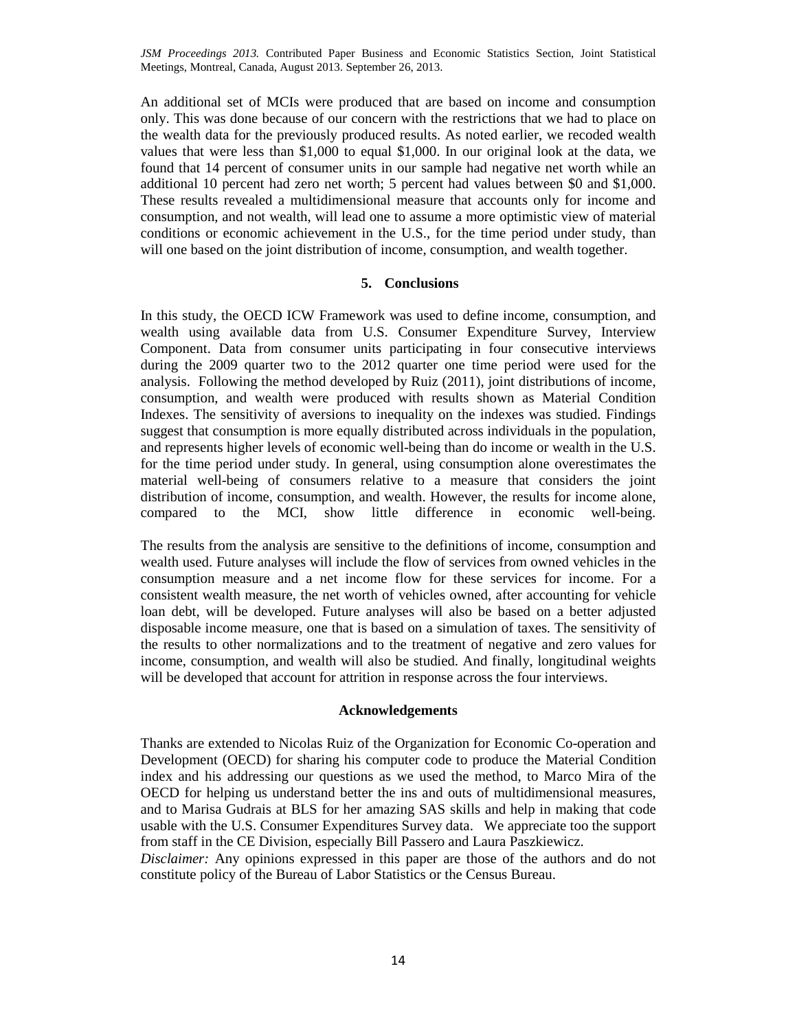An additional set of MCIs were produced that are based on income and consumption only. This was done because of our concern with the restrictions that we had to place on the wealth data for the previously produced results. As noted earlier, we recoded wealth values that were less than \$1,000 to equal \$1,000. In our original look at the data, we found that 14 percent of consumer units in our sample had negative net worth while an additional 10 percent had zero net worth; 5 percent had values between \$0 and \$1,000. These results revealed a multidimensional measure that accounts only for income and consumption, and not wealth, will lead one to assume a more optimistic view of material conditions or economic achievement in the U.S., for the time period under study, than will one based on the joint distribution of income, consumption, and wealth together.

## **5. Conclusions**

In this study, the OECD ICW Framework was used to define income, consumption, and wealth using available data from U.S. Consumer Expenditure Survey, Interview Component. Data from consumer units participating in four consecutive interviews during the 2009 quarter two to the 2012 quarter one time period were used for the analysis. Following the method developed by Ruiz (2011), joint distributions of income, consumption, and wealth were produced with results shown as Material Condition Indexes. The sensitivity of aversions to inequality on the indexes was studied. Findings suggest that consumption is more equally distributed across individuals in the population, and represents higher levels of economic well-being than do income or wealth in the U.S. for the time period under study. In general, using consumption alone overestimates the material well-being of consumers relative to a measure that considers the joint distribution of income, consumption, and wealth. However, the results for income alone, compared to the MCI, show little difference in economic well-being.

The results from the analysis are sensitive to the definitions of income, consumption and wealth used. Future analyses will include the flow of services from owned vehicles in the consumption measure and a net income flow for these services for income. For a consistent wealth measure, the net worth of vehicles owned, after accounting for vehicle loan debt, will be developed. Future analyses will also be based on a better adjusted disposable income measure, one that is based on a simulation of taxes. The sensitivity of the results to other normalizations and to the treatment of negative and zero values for income, consumption, and wealth will also be studied. And finally, longitudinal weights will be developed that account for attrition in response across the four interviews.

#### **Acknowledgements**

Thanks are extended to Nicolas Ruiz of the Organization for Economic Co-operation and Development (OECD) for sharing his computer code to produce the Material Condition index and his addressing our questions as we used the method, to Marco Mira of the OECD for helping us understand better the ins and outs of multidimensional measures, and to Marisa Gudrais at BLS for her amazing SAS skills and help in making that code usable with the U.S. Consumer Expenditures Survey data. We appreciate too the support from staff in the CE Division, especially Bill Passero and Laura Paszkiewicz.

*Disclaimer:* Any opinions expressed in this paper are those of the authors and do not constitute policy of the Bureau of Labor Statistics or the Census Bureau.